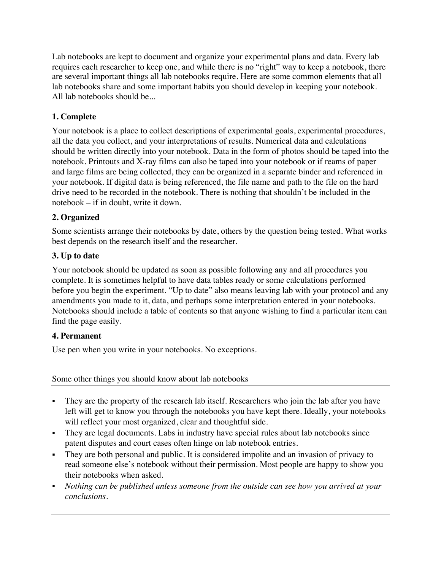Lab notebooks are kept to document and organize your experimental plans and data. Every lab requires each researcher to keep one, and while there is no "right" way to keep a notebook, there are several important things all lab notebooks require. Here are some common elements that all lab notebooks share and some important habits you should develop in keeping your notebook. All lab notebooks should be...

# **1. Complete**

Your notebook is a place to collect descriptions of experimental goals, experimental procedures, all the data you collect, and your interpretations of results. Numerical data and calculations should be written directly into your notebook. Data in the form of photos should be taped into the notebook. Printouts and X-ray films can also be taped into your notebook or if reams of paper and large films are being collected, they can be organized in a separate binder and referenced in your notebook. If digital data is being referenced, the file name and path to the file on the hard drive need to be recorded in the notebook. There is nothing that shouldn't be included in the notebook – if in doubt, write it down.

## **2. Organized**

Some scientists arrange their notebooks by date, others by the question being tested. What works best depends on the research itself and the researcher.

## **3. Up to date**

Your notebook should be updated as soon as possible following any and all procedures you complete. It is sometimes helpful to have data tables ready or some calculations performed before you begin the experiment. "Up to date" also means leaving lab with your protocol and any amendments you made to it, data, and perhaps some interpretation entered in your notebooks. Notebooks should include a table of contents so that anyone wishing to find a particular item can find the page easily.

## **4. Permanent**

Use pen when you write in your notebooks. No exceptions.

#### Some other things you should know about lab notebooks

- They are the property of the research lab itself. Researchers who join the lab after you have left will get to know you through the notebooks you have kept there. Ideally, your notebooks will reflect your most organized, clear and thoughtful side.
- § They are legal documents. Labs in industry have special rules about lab notebooks since patent disputes and court cases often hinge on lab notebook entries.
- They are both personal and public. It is considered impolite and an invasion of privacy to read someone else's notebook without their permission. Most people are happy to show you their notebooks when asked.
- § *Nothing can be published unless someone from the outside can see how you arrived at your conclusions.*